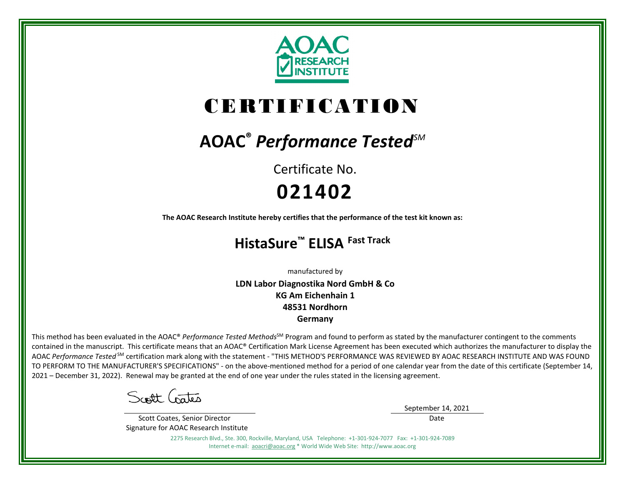

# CERTIFICATION

## **AOAC®** *Performance TestedSM*

Certificate No. **021402**

**The AOAC Research Institute hereby certifies that the performance of the test kit known as:**

### **HistaSure™ ELISA Fast Track**

manufactured by

**LDN Labor Diagnostika Nord GmbH & Co KG Am Eichenhain 1 48531 Nordhorn Germany**

This method has been evaluated in the AOAC® *Performance Tested Methods*<sup>SM</sup> Program and found to perform as stated by the manufacturer contingent to the comments contained in the manuscript. This certificate means that an AOAC® Certification Mark License Agreement has been executed which authorizes the manufacturer to display the AOAC *Performance Tested* SM certification mark along with the statement - "THIS METHOD'S PERFORMANCE WAS REVIEWED BY AOAC RESEARCH INSTITUTE AND WAS FOUND TO PERFORM TO THE MANUFACTURER'S SPECIFICATIONS" - on the above-mentioned method for a period of one calendar year from the date of this certificate (September 14, 2021 – December 31, 2022). Renewal may be granted at the end of one year under the rules stated in the licensing agreement.

Scott Gates

 Scott Coates, Senior Director Signature for AOAC Research Institute September 14, 2021

Date

2275 Research Blvd., Ste. 300, Rockville, Maryland, USA Telephone: +1-301-924-7077 Fax: +1-301-924-7089 Internet e-mail: [aoacri@aoac.org](mailto:aoacri@aoac.org) \* World Wide Web Site: http://www.aoac.org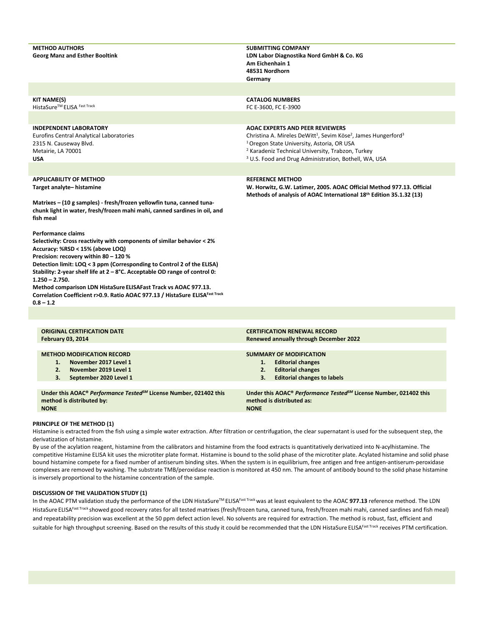| <b>METHOD AUTHORS</b><br><b>Georg Manz and Esther Booltink</b>                                                                                                                                                                                                                                                                                                                                                                                                                                                                                                                                                                                                                                                                                                  | <b>SUBMITTING COMPANY</b><br>LDN Labor Diagnostika Nord GmbH & Co. KG<br>Am Eichenhain 1<br>48531 Nordhorn<br>Germany                                                                                                                                                                                                                     |
|-----------------------------------------------------------------------------------------------------------------------------------------------------------------------------------------------------------------------------------------------------------------------------------------------------------------------------------------------------------------------------------------------------------------------------------------------------------------------------------------------------------------------------------------------------------------------------------------------------------------------------------------------------------------------------------------------------------------------------------------------------------------|-------------------------------------------------------------------------------------------------------------------------------------------------------------------------------------------------------------------------------------------------------------------------------------------------------------------------------------------|
|                                                                                                                                                                                                                                                                                                                                                                                                                                                                                                                                                                                                                                                                                                                                                                 |                                                                                                                                                                                                                                                                                                                                           |
| <b>KIT NAME(S)</b><br>HistaSure <sup>™</sup> ELISA Fast Track                                                                                                                                                                                                                                                                                                                                                                                                                                                                                                                                                                                                                                                                                                   | <b>CATALOG NUMBERS</b><br>FC E-3600, FC E-3900                                                                                                                                                                                                                                                                                            |
| <b>INDEPENDENT LABORATORY</b><br>Eurofins Central Analytical Laboratories<br>2315 N. Causeway Blvd.<br>Metairie, LA 70001<br><b>USA</b>                                                                                                                                                                                                                                                                                                                                                                                                                                                                                                                                                                                                                         | <b>AOAC EXPERTS AND PEER REVIEWERS</b><br>Christina A. Mireles DeWitt <sup>1</sup> , Sevim Köse <sup>2</sup> , James Hungerford <sup>3</sup><br><sup>1</sup> Oregon State University, Astoria, OR USA<br><sup>2</sup> Karadeniz Technical University, Trabzon, Turkey<br><sup>3</sup> U.S. Food and Drug Administration, Bothell, WA, USA |
| <b>APPLICABILITY OF METHOD</b><br>Target analyte-histamine<br>Matrixes - (10 g samples) - fresh/frozen yellowfin tuna, canned tuna-<br>chunk light in water, fresh/frozen mahi mahi, canned sardines in oil, and<br>fish meal<br><b>Performance claims</b><br>Selectivity: Cross reactivity with components of similar behavior < 2%<br>Accuracy: %RSD < 15% (above LOQ)<br>Precision: recovery within 80 - 120 %<br>Detection limit: LOQ < 3 ppm (Corresponding to Control 2 of the ELISA)<br>Stability: 2-year shelf life at 2 - 8°C. Acceptable OD range of control 0:<br>$1.250 - 2.750.$<br>Method comparison LDN HistaSure ELISAFast Track vs AOAC 977.13.<br>Correlation Coefficient r>0.9. Ratio AOAC 977.13 / HistaSure ELISAFast Track<br>$0.8 - 1.2$ | <b>REFERENCE METHOD</b><br>W. Horwitz, G.W. Latimer, 2005. AOAC Official Method 977.13. Official<br>Methods of analysis of AOAC International 18th Edition 35.1.32 (13)                                                                                                                                                                   |
|                                                                                                                                                                                                                                                                                                                                                                                                                                                                                                                                                                                                                                                                                                                                                                 |                                                                                                                                                                                                                                                                                                                                           |
| <b>ORIGINAL CERTIFICATION DATE</b><br><b>February 03, 2014</b>                                                                                                                                                                                                                                                                                                                                                                                                                                                                                                                                                                                                                                                                                                  | <b>CERTIFICATION RENEWAL RECORD</b><br><b>Renewed annually through December 2022</b>                                                                                                                                                                                                                                                      |
| <b>METHOD MODIFICATION RECORD</b><br>November 2017 Level 1<br>1.<br>$\overline{2}$ .<br>November 2019 Level 1                                                                                                                                                                                                                                                                                                                                                                                                                                                                                                                                                                                                                                                   | <b>SUMMARY OF MODIFICATION</b><br><b>Editorial changes</b><br>1.<br>2.<br><b>Editorial changes</b>                                                                                                                                                                                                                                        |

**3. September 2020 Level 1**

**Under this AOAC®** *Performance TestedSM* **License Number, 021402 this method is distributed by: NONE**

- **2. Editorial changes**
- **3. Editorial changes to labels**

**Under this AOAC®** *Performance TestedSM* **License Number, 021402 this method is distributed as: NONE**

#### **PRINCIPLE OF THE METHOD (1)**

Histamine is extracted from the fish using a simple water extraction. After filtration or centrifugation, the clear supernatant is used for the subsequent step, the derivatization of histamine.

By use of the acylation reagent, histamine from the calibrators and histamine from the food extracts is quantitatively derivatized into N-acylhistamine. The competitive Histamine ELISA kit uses the microtiter plate format. Histamine is bound to the solid phase of the microtiter plate. Acylated histamine and solid phase bound histamine compete for a fixed number of antiserum binding sites. When the system is in equilibrium, free antigen and free antigen-antiserum-peroxidase complexes are removed by washing. The substrate TMB/peroxidase reaction is monitored at 450 nm. The amount of antibody bound to the solid phase histamine is inversely proportional to the histamine concentration of the sample.

#### **DISCUSSION OF THE VALIDATION STUDY (1)**

In the AOAC PTM validation study the performance of the LDN HistaSure<sup>™</sup> ELISA<sup>Fast Track</sup> was at least equivalent to the AOAC 977.13 reference method. The LDN HistaSure ELISAFast Track showed good recovery rates for all tested matrixes (fresh/frozen tuna, canned tuna, fresh/frozen mahi mahi, canned sardines and fish meal) and repeatability precision was excellent at the 50 ppm defect action level. No solvents are required for extraction. The method is robust, fast, efficient and suitable for high throughput screening. Based on the results of this study it could be recommended that the LDN HistaSure ELISAFast Track receives PTM certification.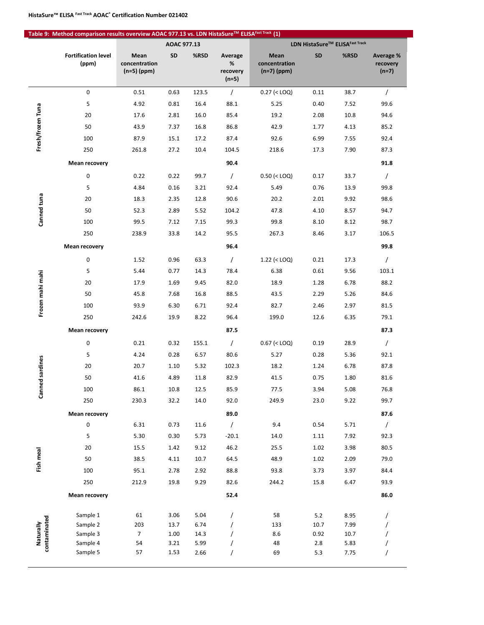|                           | Table 9: Method comparison results overview AOAC 977.13 vs. LDN HistaSure™ ELISAFast Track (1) |                                        |              |              |                                     |                                        |             |              |                                  |  |  |
|---------------------------|------------------------------------------------------------------------------------------------|----------------------------------------|--------------|--------------|-------------------------------------|----------------------------------------|-------------|--------------|----------------------------------|--|--|
|                           |                                                                                                | AOAC 977.13                            |              |              | LDN HistaSure™ ELISAFast Track      |                                        |             |              |                                  |  |  |
|                           | <b>Fortification level</b><br>(ppm)                                                            | Mean<br>concentration<br>$(n=5)$ (ppm) | SD           | %RSD         | Average<br>%<br>recovery<br>$(n=5)$ | Mean<br>concentration<br>$(n=7)$ (ppm) | SD          | %RSD         | Average %<br>recovery<br>$(n=7)$ |  |  |
| Fresh/frozen Tuna         | 0                                                                                              | 0.51                                   | 0.63         | 123.5        | $\sqrt{2}$                          | $0.27$ (< LOQ)                         | 0.11        | 38.7         | $\sqrt{2}$                       |  |  |
|                           | 5                                                                                              | 4.92                                   | 0.81         | 16.4         | 88.1                                | 5.25                                   | 0.40        | 7.52         | 99.6                             |  |  |
|                           | 20                                                                                             | 17.6                                   | 2.81         | 16.0         | 85.4                                | 19.2                                   | 2.08        | 10.8         | 94.6                             |  |  |
|                           | 50                                                                                             | 43.9                                   | 7.37         | 16.8         | 86.8                                | 42.9                                   | 1.77        | 4.13         | 85.2                             |  |  |
|                           | 100                                                                                            | 87.9                                   | 15.1         | 17.2         | 87.4                                | 92.6                                   | 6.99        | 7.55         | 92.4                             |  |  |
|                           | 250                                                                                            | 261.8                                  | 27.2         | 10.4         | 104.5                               | 218.6                                  | 17.3        | 7.90         | 87.3                             |  |  |
|                           | <b>Mean recovery</b>                                                                           |                                        |              |              | 90.4                                |                                        |             |              | 91.8                             |  |  |
|                           | 0                                                                                              | 0.22                                   | 0.22         | 99.7         | $\prime$                            | $0.50$ (< LOQ)                         | 0.17        | 33.7         | $\sqrt{2}$                       |  |  |
|                           | 5                                                                                              | 4.84                                   | 0.16         | 3.21         | 92.4                                | 5.49                                   | 0.76        | 13.9         | 99.8                             |  |  |
|                           | 20                                                                                             | 18.3                                   | 2.35         | 12.8         | 90.6                                | 20.2                                   | 2.01        | 9.92         | 98.6                             |  |  |
|                           | 50                                                                                             | 52.3                                   | 2.89         | 5.52         | 104.2                               | 47.8                                   | 4.10        | 8.57         | 94.7                             |  |  |
| Canned tuna               | 100                                                                                            | 99.5                                   | 7.12         | 7.15         | 99.3                                | 99.8                                   | 8.10        | 8.12         | 98.7                             |  |  |
|                           | 250                                                                                            | 238.9                                  | 33.8         | 14.2         | 95.5                                | 267.3                                  | 8.46        | 3.17         | 106.5                            |  |  |
|                           | <b>Mean recovery</b>                                                                           |                                        |              |              | 96.4                                |                                        |             |              | 99.8                             |  |  |
|                           | 0                                                                                              | 1.52                                   | 0.96         | 63.3         | $\sqrt{2}$                          | $1.22$ (< LOQ)                         | 0.21        | 17.3         | $\sqrt{2}$                       |  |  |
|                           | 5                                                                                              | 5.44                                   | 0.77         | 14.3         | 78.4                                | 6.38                                   | 0.61        | 9.56         | 103.1                            |  |  |
|                           | 20                                                                                             | 17.9                                   | 1.69         | 9.45         | 82.0                                | 18.9                                   | 1.28        | 6.78         | 88.2                             |  |  |
| Frozen mahi mahi          | 50                                                                                             | 45.8                                   | 7.68         | 16.8         | 88.5                                | 43.5                                   | 2.29        | 5.26         | 84.6                             |  |  |
|                           | 100                                                                                            | 93.9                                   | 6.30         | 6.71         | 92.4                                | 82.7                                   | 2.46        | 2.97         | 81.5                             |  |  |
|                           | 250                                                                                            | 242.6                                  | 19.9         | 8.22         | 96.4                                | 199.0                                  | 12.6        | 6.35         | 79.1                             |  |  |
|                           | <b>Mean recovery</b>                                                                           |                                        |              |              | 87.5                                |                                        |             |              | 87.3                             |  |  |
|                           | 0                                                                                              | 0.21                                   | 0.32         | 155.1        | $\sqrt{2}$                          | $0.67$ (< LOQ)                         | 0.19        | 28.9         | $\sqrt{2}$                       |  |  |
|                           | 5                                                                                              | 4.24                                   | 0.28         | 6.57         | 80.6                                | 5.27                                   | 0.28        | 5.36         | 92.1                             |  |  |
| d sardines                | 20                                                                                             | 20.7                                   | 1.10         | 5.32         | 102.3                               | 18.2                                   | 1.24        | 6.78         | 87.8                             |  |  |
|                           | 50                                                                                             | 41.6                                   | 4.89         | 11.8         | 82.9                                | 41.5                                   | 0.75        | 1.80         | 81.6                             |  |  |
| Canne                     | 100                                                                                            | 86.1                                   | 10.8         | 12.5         | 85.9                                | 77.5                                   | 3.94        | 5.08         | 76.8                             |  |  |
|                           | 250                                                                                            | 230.3                                  | 32.2         | 14.0         | 92.0                                | 249.9                                  | 23.0        | 9.22         | 99.7                             |  |  |
|                           | <b>Mean recovery</b>                                                                           |                                        |              |              | 89.0                                |                                        |             |              | 87.6                             |  |  |
|                           | $\mathsf{O}\xspace$                                                                            | 6.31                                   | 0.73         | 11.6         | $\sqrt{ }$                          | 9.4                                    | 0.54        | 5.71         | $\sqrt{2}$                       |  |  |
|                           | 5                                                                                              | 5.30                                   | 0.30         | 5.73         | $-20.1$                             | 14.0                                   | 1.11        | 7.92         | 92.3                             |  |  |
|                           | 20                                                                                             | 15.5                                   | 1.42         | 9.12         | 46.2                                | 25.5                                   | 1.02        | 3.98         | 80.5                             |  |  |
| Fish meal                 | 50                                                                                             | 38.5                                   | 4.11         | 10.7         | 64.5                                | 48.9                                   | 1.02        | 2.09         | 79.0                             |  |  |
|                           | 100                                                                                            | 95.1                                   | 2.78         | 2.92         | 88.8                                | 93.8                                   | 3.73        | 3.97         | 84.4                             |  |  |
|                           | 250                                                                                            | 212.9                                  | 19.8         | 9.29         | 82.6                                | 244.2                                  | 15.8        | 6.47         | 93.9                             |  |  |
|                           | <b>Mean recovery</b>                                                                           |                                        |              |              | 52.4                                |                                        |             |              | 86.0                             |  |  |
| contaminated<br>Naturally | Sample 1                                                                                       | 61                                     | 3.06         | 5.04         | $\prime$                            | 58                                     | 5.2         | 8.95         | $\prime$                         |  |  |
|                           | Sample 2                                                                                       | 203                                    | 13.7         | 6.74         | $\prime$                            | 133                                    | 10.7        | 7.99         | $\prime$                         |  |  |
|                           | Sample 3<br>Sample 4                                                                           | $7\overline{ }$<br>54                  | 1.00<br>3.21 | 14.3<br>5.99 | $\prime$                            | 8.6<br>48                              | 0.92<br>2.8 | 10.7<br>5.83 | 7                                |  |  |
|                           | Sample 5                                                                                       | 57                                     | 1.53         | 2.66         | 7                                   | 69                                     | 5.3         | 7.75         | $\prime$                         |  |  |